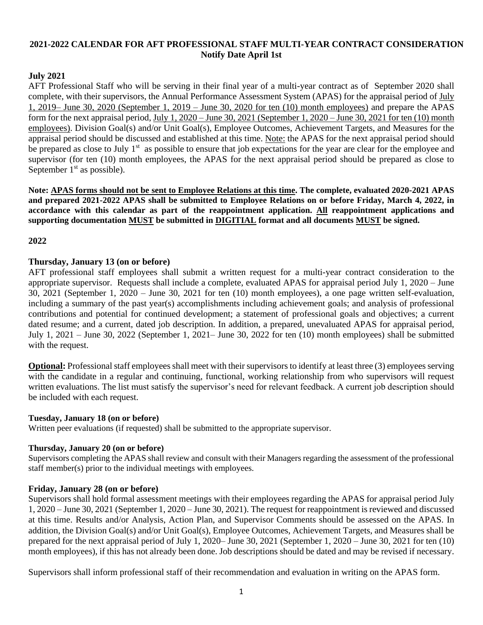# **2021-2022 CALENDAR FOR AFT PROFESSIONAL STAFF MULTI-YEAR CONTRACT CONSIDERATION Notify Date April 1st**

# **July 2021**

AFT Professional Staff who will be serving in their final year of a multi-year contract as of September 2020 shall complete, with their supervisors, the Annual Performance Assessment System (APAS) for the appraisal period of July 1, 2019– June 30, 2020 (September 1, 2019 – June 30, 2020 for ten (10) month employees) and prepare the APAS form for the next appraisal period, July 1, 2020 – June 30, 2021 (September 1, 2020 – June 30, 2021 for ten (10) month employees). Division Goal(s) and/or Unit Goal(s), Employee Outcomes, Achievement Targets, and Measures for the appraisal period should be discussed and established at this time. Note: the APAS for the next appraisal period should be prepared as close to July 1<sup>st</sup> as possible to ensure that job expectations for the year are clear for the employee and supervisor (for ten (10) month employees, the APAS for the next appraisal period should be prepared as close to September  $1<sup>st</sup>$  as possible).

**Note: APAS forms should not be sent to Employee Relations at this time. The complete, evaluated 2020-2021 APAS and prepared 2021-2022 APAS shall be submitted to Employee Relations on or before Friday, March 4, 2022, in accordance with this calendar as part of the reappointment application. All reappointment applications and supporting documentation MUST be submitted in DIGITIAL format and all documents MUST be signed.**

**2022**

### **Thursday, January 13 (on or before)**

AFT professional staff employees shall submit a written request for a multi-year contract consideration to the appropriate supervisor. Requests shall include a complete, evaluated APAS for appraisal period July 1, 2020 – June 30, 2021 (September 1, 2020 – June 30, 2021 for ten (10) month employees), a one page written self-evaluation, including a summary of the past year(s) accomplishments including achievement goals; and analysis of professional contributions and potential for continued development; a statement of professional goals and objectives; a current dated resume; and a current, dated job description. In addition, a prepared, unevaluated APAS for appraisal period, July 1, 2021 – June 30, 2022 (September 1, 2021– June 30, 2022 for ten (10) month employees) shall be submitted with the request.

**Optional:** Professional staff employees shall meet with their supervisors to identify at least three (3) employees serving with the candidate in a regular and continuing, functional, working relationship from who supervisors will request written evaluations. The list must satisfy the supervisor's need for relevant feedback. A current job description should be included with each request.

#### **Tuesday, January 18 (on or before)**

Written peer evaluations (if requested) shall be submitted to the appropriate supervisor.

#### **Thursday, January 20 (on or before)**

Supervisors completing the APAS shall review and consult with their Managers regarding the assessment of the professional staff member(s) prior to the individual meetings with employees.

## **Friday, January 28 (on or before)**

Supervisors shall hold formal assessment meetings with their employees regarding the APAS for appraisal period July 1, 2020 – June 30, 2021 (September 1, 2020 – June 30, 2021). The request for reappointment is reviewed and discussed at this time. Results and/or Analysis, Action Plan, and Supervisor Comments should be assessed on the APAS. In addition, the Division Goal(s) and/or Unit Goal(s), Employee Outcomes, Achievement Targets, and Measures shall be prepared for the next appraisal period of July 1, 2020– June 30, 2021 (September 1, 2020 – June 30, 2021 for ten (10) month employees), if this has not already been done. Job descriptions should be dated and may be revised if necessary.

Supervisors shall inform professional staff of their recommendation and evaluation in writing on the APAS form.